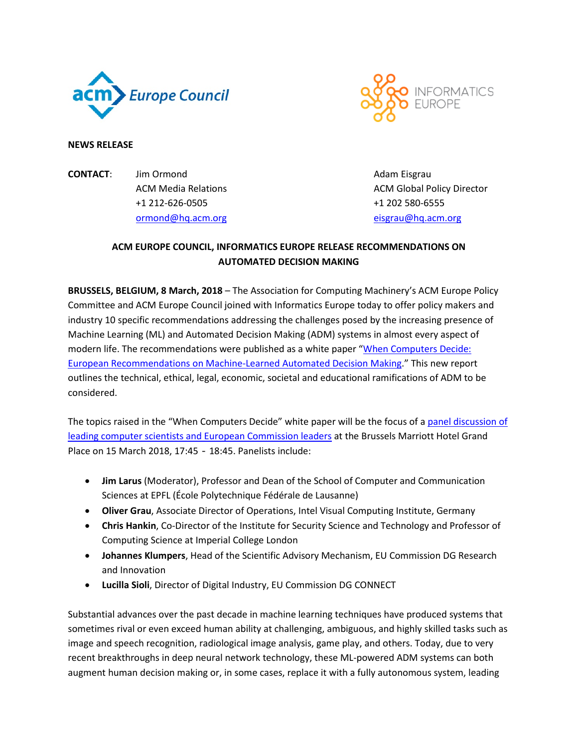



## **NEWS RELEASE**

**CONTACT:** Jim Ormond **Adam Eisgrau** Adam Eisgrau +1 212-626-0505 +1 202 580-6555 [ormond@hq.acm.org](mailto:ormond@hq.acm.org) [eisgrau@hq.acm.org](mailto:eisgrau@hq.acm.org)

ACM Media Relations **ACM Global Policy Director** 

# **ACM EUROPE COUNCIL, INFORMATICS EUROPE RELEASE RECOMMENDATIONS ON AUTOMATED DECISION MAKING**

**BRUSSELS, BELGIUM, 8 March, 2018** – The Association for Computing Machinery's ACM Europe Policy Committee and ACM Europe Council joined with Informatics Europe today to offer policy makers and industry 10 specific recommendations addressing the challenges posed by the increasing presence of Machine Learning (ML) and Automated Decision Making (ADM) systems in almost every aspect of modern life. The recommendations were published as a white paper ["When Computers Decide:](https://www.acm.org/binaries/content/assets/public-policy/ie-euacm-adm-report-2018.pdf)  [European Recommendations on Machine-Learned Automated Decision Making.](https://www.acm.org/binaries/content/assets/public-policy/ie-euacm-adm-report-2018.pdf)" This new report outlines the technical, ethical, legal, economic, societal and educational ramifications of ADM to be considered.

The topics raised in the "When Computers Decide" white paper will be the focus of a panel discussion of [leading computer scientists and European Commission leaders](https://www.acm.org/public-policy/brussels-event) at the Brussels Marriott Hotel Grand Place on 15 March 2018, 17:45 - 18:45. Panelists include:

- **Jim Larus** (Moderator), Professor and Dean of the School of Computer and Communication Sciences at EPFL (École Polytechnique Fédérale de Lausanne)
- **Oliver Grau**, Associate Director of Operations, Intel Visual Computing Institute, Germany
- **Chris Hankin**, Co-Director of the Institute for Security Science and Technology and Professor of Computing Science at Imperial College London
- **Johannes Klumpers**, Head of the Scientific Advisory Mechanism, EU Commission DG Research and Innovation
- **Lucilla Sioli**, Director of Digital Industry, EU Commission DG CONNECT

Substantial advances over the past decade in machine learning techniques have produced systems that sometimes rival or even exceed human ability at challenging, ambiguous, and highly skilled tasks such as image and speech recognition, radiological image analysis, game play, and others. Today, due to very recent breakthroughs in deep neural network technology, these ML-powered ADM systems can both augment human decision making or, in some cases, replace it with a fully autonomous system, leading